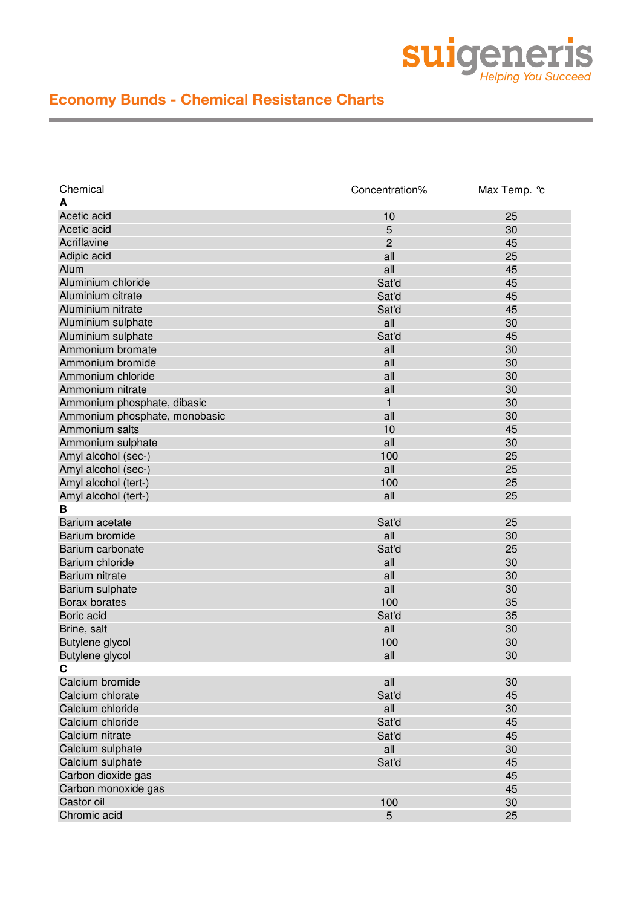

| Chemical                      | Concentration% | Max Temp. °c |
|-------------------------------|----------------|--------------|
| А                             |                |              |
| Acetic acid                   | 10             | 25           |
| Acetic acid                   | 5              | 30           |
| Acriflavine                   | 2              | 45           |
| Adipic acid                   | all            | 25           |
| Alum                          | all            | 45           |
| Aluminium chloride            | Sat'd          | 45           |
| Aluminium citrate             | Sat'd          | 45           |
| Aluminium nitrate             | Sat'd          | 45           |
| Aluminium sulphate            | all            | 30           |
| Aluminium sulphate            | Sat'd          | 45           |
| Ammonium bromate              | all            | 30           |
| Ammonium bromide              | all            | 30           |
| Ammonium chloride             | all            | 30           |
| Ammonium nitrate              | all            | 30           |
| Ammonium phosphate, dibasic   | 1              | 30           |
| Ammonium phosphate, monobasic | all            | 30           |
| Ammonium salts                | 10             | 45           |
| Ammonium sulphate             | all            | 30           |
| Amyl alcohol (sec-)           | 100            | 25           |
| Amyl alcohol (sec-)           | all            | 25           |
| Amyl alcohol (tert-)          | 100            | 25           |
| Amyl alcohol (tert-)          | all            | 25           |
| в                             |                |              |
| Barium acetate                | Sat'd          | 25           |
| <b>Barium bromide</b>         | all            | 30           |
| Barium carbonate              | Sat'd          | 25           |
| Barium chloride               |                |              |
|                               | all            | 30           |
| Barium nitrate                | all            | 30           |
| Barium sulphate               | all            | 30           |
| Borax borates                 | 100            | 35           |
| Boric acid                    | Sat'd          | 35           |
| Brine, salt                   | all            | 30           |
| Butylene glycol               | 100            | 30           |
| Butylene glycol               | all            | 30           |
| C                             |                |              |
| Calcium bromide               | all            | 30           |
| Calcium chlorate              | Sat'd          | 45           |
| Calcium chloride              | all            | 30           |
| Calcium chloride              | Sat'd          | 45           |
| Calcium nitrate               | Sat'd          | 45           |
| Calcium sulphate              | all            | 30           |
| Calcium sulphate              | Sat'd          | 45           |
| Carbon dioxide gas            |                | 45           |
| Carbon monoxide gas           |                | 45           |
| Castor oil                    | 100            | 30           |
| Chromic acid                  | 5              | 25           |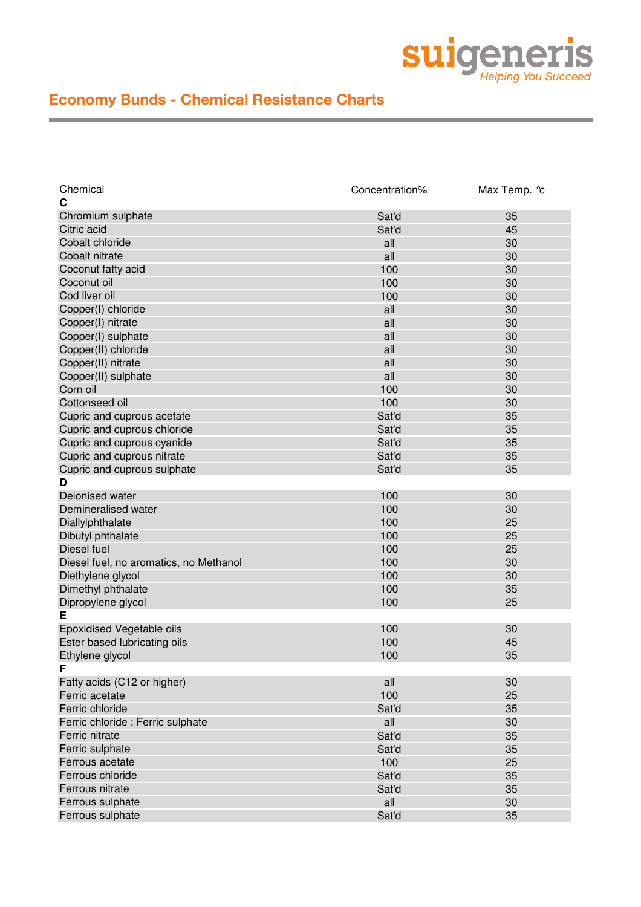

| Chemical                               | Concentration% | Max Temp. °c |
|----------------------------------------|----------------|--------------|
| C                                      |                |              |
| Chromium sulphate                      | Sat'd          | 35           |
| Citric acid                            | Sat'd          | 45           |
| Cobalt chloride                        | all            | 30           |
| Cobalt nitrate                         | all            | 30           |
| Coconut fatty acid                     | 100            | 30           |
| Coconut oil                            | 100            | 30           |
| Cod liver oil                          | 100            | 30           |
| Copper(I) chloride                     | all            | 30           |
| Copper(I) nitrate                      | all            | 30           |
| Copper(I) sulphate                     | all            | 30           |
| Copper(II) chloride                    | all            | 30           |
| Copper(II) nitrate                     | all            | 30           |
| Copper(II) sulphate                    | all            | 30           |
| Corn oil                               | 100            | 30           |
| Cottonseed oil                         | 100            | 30           |
| Cupric and cuprous acetate             | Sat'd          | 35           |
| Cupric and cuprous chloride            | Sat'd          | 35           |
| Cupric and cuprous cyanide             | Sat'd          | 35           |
| Cupric and cuprous nitrate             | Sat'd          | 35           |
| Cupric and cuprous sulphate            | Sat'd          | 35           |
| D                                      |                |              |
| Deionised water                        | 100            | 30           |
| Demineralised water                    | 100            | 30           |
| Diallylphthalate                       | 100            | 25           |
| Dibutyl phthalate                      | 100            | 25           |
| Diesel fuel                            | 100            | 25           |
| Diesel fuel, no aromatics, no Methanol | 100            | 30           |
| Diethylene glycol                      | 100            | 30           |
| Dimethyl phthalate                     | 100            | 35           |
|                                        |                | 25           |
| Dipropylene glycol<br>E                | 100            |              |
|                                        |                |              |
| Epoxidised Vegetable oils              | 100            | 30           |
| Ester based lubricating oils           | 100            | 45           |
| Ethylene glycol                        | 100            | 35           |
| F                                      |                |              |
| Fatty acids (C12 or higher)            | all            | 30           |
| Ferric acetate                         | 100            | 25           |
| Ferric chloride                        | Sat'd          | 35           |
| Ferric chloride : Ferric sulphate      | all            | 30           |
| Ferric nitrate                         | Sat'd          | 35           |
| Ferric sulphate                        | Sat'd          | 35           |
| Ferrous acetate                        | 100            | 25           |
| Ferrous chloride                       | Sat'd          | 35           |
| Ferrous nitrate                        | Sat'd          | 35           |
| Ferrous sulphate                       | all            | 30           |
| Ferrous sulphate                       | Sat'd          | 35           |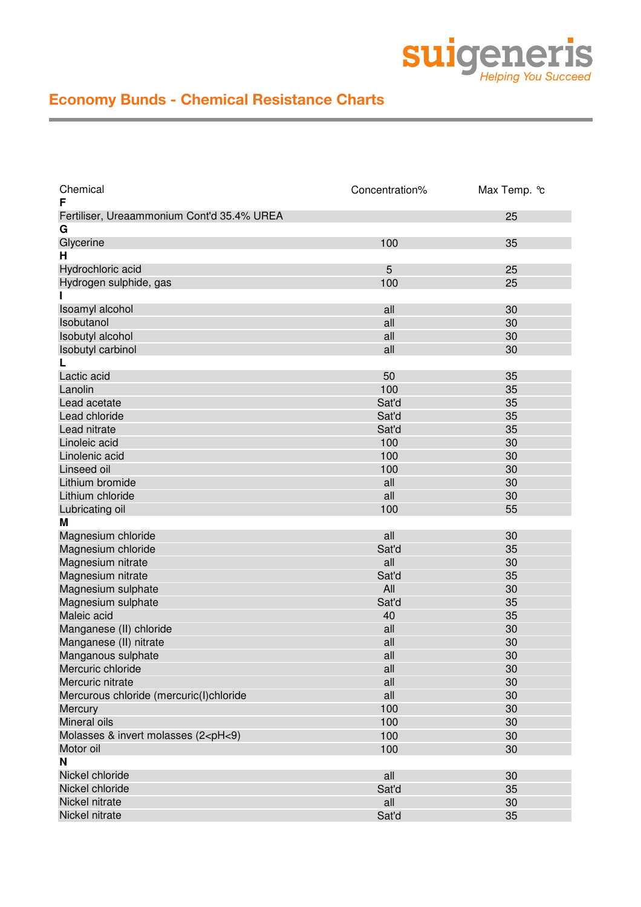

| Chemical<br>F                                                                | Concentration% | Max Temp. °c |
|------------------------------------------------------------------------------|----------------|--------------|
| Fertiliser, Ureaammonium Cont'd 35.4% UREA                                   |                | 25           |
| G                                                                            |                |              |
| Glycerine                                                                    | 100            | 35           |
| Н                                                                            |                |              |
| Hydrochloric acid                                                            | 5              | 25           |
| Hydrogen sulphide, gas                                                       | 100            | 25           |
|                                                                              |                |              |
| Isoamyl alcohol                                                              | all            | 30           |
| Isobutanol                                                                   | all            | 30           |
| Isobutyl alcohol                                                             | all            | 30           |
| Isobutyl carbinol                                                            | all            | 30           |
|                                                                              |                |              |
| Lactic acid                                                                  | 50             | 35           |
| Lanolin                                                                      | 100            | 35           |
| Lead acetate                                                                 | Sat'd          | 35           |
| Lead chloride                                                                | Sat'd          | 35           |
| Lead nitrate                                                                 | Sat'd          | 35           |
| Linoleic acid                                                                | 100            | 30           |
| Linolenic acid                                                               | 100            | 30           |
| Linseed oil                                                                  | 100            | 30           |
| Lithium bromide                                                              | all            | 30           |
| Lithium chloride                                                             | all            | 30           |
|                                                                              | 100            | 55           |
| Lubricating oil<br>Μ                                                         |                |              |
|                                                                              |                | 30           |
| Magnesium chloride                                                           | all            |              |
| Magnesium chloride                                                           | Sat'd          | 35           |
| Magnesium nitrate                                                            | all            | 30           |
| Magnesium nitrate                                                            | Sat'd          | 35           |
| Magnesium sulphate                                                           | All            | 30           |
| Magnesium sulphate                                                           | Sat'd          | 35           |
| Maleic acid                                                                  | 40             | 35           |
| Manganese (II) chloride                                                      | all            | 30           |
| Manganese (II) nitrate                                                       | all            | 30           |
| Manganous sulphate                                                           | all            | 30           |
| Mercuric chloride                                                            | all            | 30           |
| Mercuric nitrate                                                             | all            | 30           |
| Mercurous chloride (mercuric(I)chloride                                      | all            | 30           |
| Mercury                                                                      | 100            | 30           |
| Mineral oils                                                                 | 100            | 30           |
| Molasses & invert molasses (2 <ph<9)< td=""><td>100</td><td>30</td></ph<9)<> | 100            | 30           |
| Motor oil                                                                    | 100            | 30           |
| N                                                                            |                |              |
| Nickel chloride                                                              | all            | 30           |
| Nickel chloride                                                              | Sat'd          | 35           |
| Nickel nitrate                                                               | all            | 30           |
| Nickel nitrate                                                               | Sat'd          | 35           |